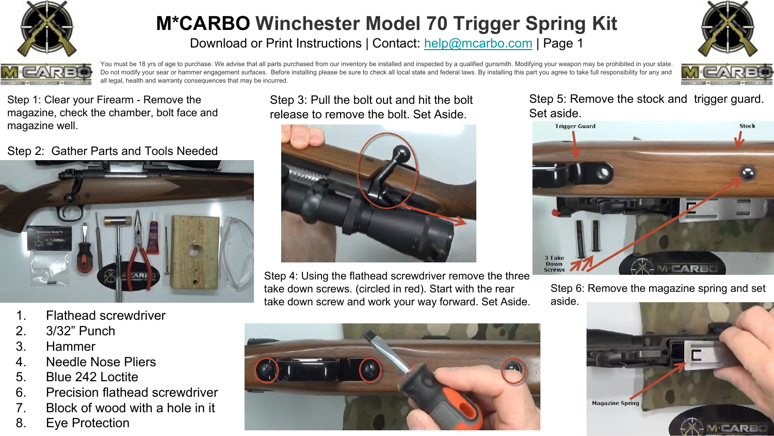

Download or Print Instructions | Contact: [help@mcarbo.com](mailto:help@mcarbo.com) | Page 1





You must be 18 yrs of age to purchase. We advise that all parts purchased from our inventory be installed and inspected by a qualified qunsmith. Modifying your weapon may be prohibited in your state. Do not modify your sear or hammer engagement surfaces. Before installing please be sure to check all local state and federal laws. By installing this part you agree to take full responsibility for any and all legal, health and warranty consequences that may be incurred.



Step 1: Clear your Firearm - Remove the magazine, check the chamber, bolt face and magazine well.

Step 2: Gather Parts and Tools Needed



- 1. Flathead screwdriver
- 2. 3/32" Punch
- 3. Hammer
- 4. Needle Nose Pliers
- 5. Blue 242 Loctite
- 6. Precision flathead screwdriver
- 7. Block of wood with a hole in it
- 8. Eye Protection

Step 3: Pull the bolt out and hit the bolt release to remove the bolt. Set Aside.



Step 4: Using the flathead screwdriver remove the three take down screws. (circled in red). Start with the rear take down screw and work your way forward. Set Aside.



Step 5: Remove the stock and trigger guard. Set aside.



Step 6: Remove the magazine spring and set aside.

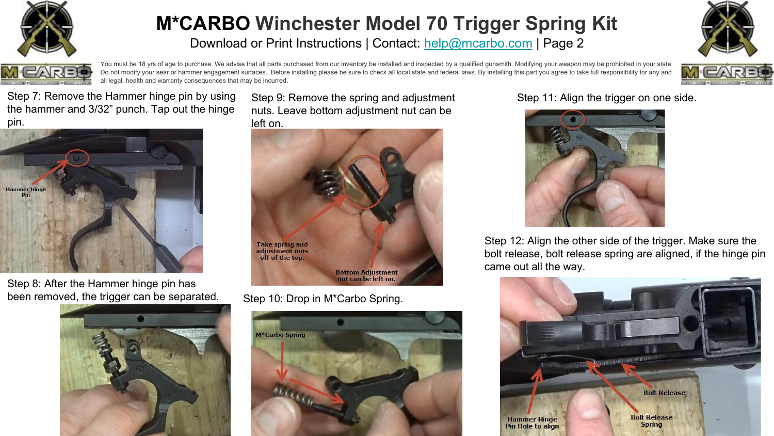

Download or Print Instructions | Contact: [help@mcarbo.com](mailto:help@mcarbo.com) | Page 2





You must be 18 yrs of age to purchase. We advise that all parts purchased from our inventory be installed and inspected by a qualified qunsmith. Modifying your weapon may be prohibited in your state. Do not modify your sear or hammer engagement surfaces. Before installing please be sure to check all local state and federal laws. By installing this part you agree to take full responsibility for any and all legal, health and warranty consequences that may be incurred.



Step 7: Remove the Hammer hinge pin by using the hammer and 3/32" punch. Tap out the hinge pin.



Step 8: After the Hammer hinge pin has been removed, the trigger can be separated.



Step 9: Remove the spring and adjustment nuts. Leave bottom adjustment nut can be left on.



Step 10: Drop in M\*Carbo Spring.



Step 11: Align the trigger on one side.



Step 12: Align the other side of the trigger. Make sure the bolt release, bolt release spring are aligned, if the hinge pin came out all the way.

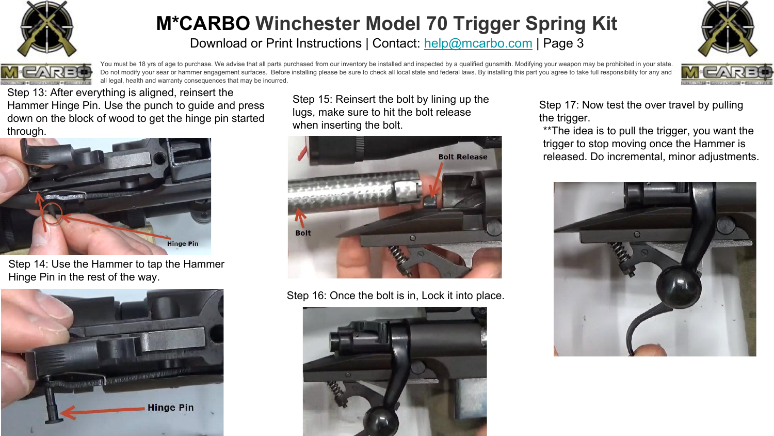

Download or Print Instructions | Contact: [help@mcarbo.com](mailto:help@mcarbo.com) | Page 3





You must be 18 yrs of age to purchase. We advise that all parts purchased from our inventory be installed and inspected by a qualified qunsmith. Modifying your weapon may be prohibited in your state. Do not modify your sear or hammer engagement surfaces. Before installing please be sure to check all local state and federal laws. By installing this part you agree to take full responsibility for any and all legal, health and warranty consequences that may be incurred.



Step 13: After everything is aligned, reinsert the Hammer Hinge Pin. Use the punch to guide and press down on the block of wood to get the hinge pin started through.



Step 14: Use the Hammer to tap the Hammer Hinge Pin in the rest of the way.



Step 15: Reinsert the bolt by lining up the lugs, make sure to hit the bolt release when inserting the bolt.



Step 16: Once the bolt is in, Lock it into place.



Step 17: Now test the over travel by pulling the trigger.

\*\*The idea is to pull the trigger, you want the trigger to stop moving once the Hammer is released. Do incremental, minor adjustments.

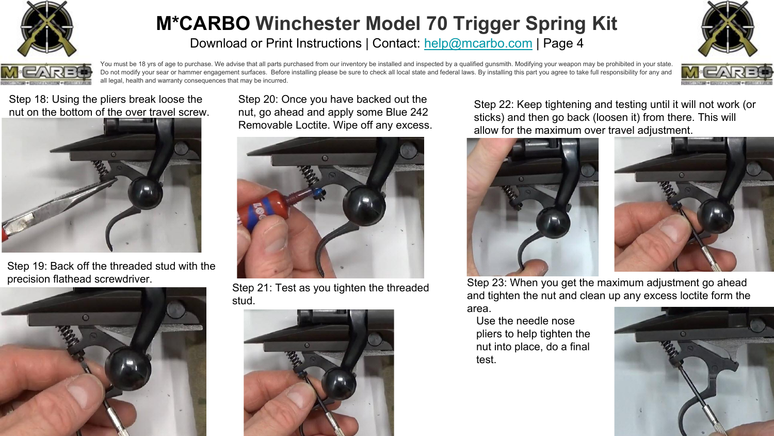

Download or Print Instructions | Contact: [help@mcarbo.com](mailto:help@mcarbo.com) | Page 4





You must be 18 yrs of age to purchase. We advise that all parts purchased from our inventory be installed and inspected by a qualified qunsmith. Modifying your weapon may be prohibited in your state. Do not modify your sear or hammer engagement surfaces. Before installing please be sure to check all local state and federal laws. By installing this part you agree to take full responsibility for any and all legal, health and warranty consequences that may be incurred.



Step 18: Using the pliers break loose the nut on the bottom of the over travel screw.



Step 19: Back off the threaded stud with the precision flathead screwdriver.



Step 20: Once you have backed out the nut, go ahead and apply some Blue 242 Removable Loctite. Wipe off any excess.



Step 21: Test as you tighten the threaded stud.



Step 22: Keep tightening and testing until it will not work (or sticks) and then go back (loosen it) from there. This will allow for the maximum over travel adjustment.





Step 23: When you get the maximum adjustment go ahead and tighten the nut and clean up any excess loctite form the area.

Use the needle nose pliers to help tighten the nut into place, do a final test.